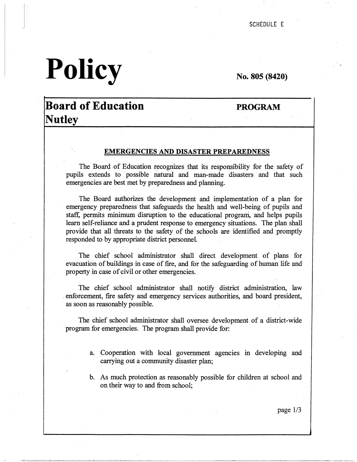# **Policy**

**No. 805 (8420)** 

## **Board of Education Nutley**

### **PROGRAM**

#### **EMERGENCIES AND DISASTER PREPAREDNESS**

The Board of Education recognizes that its responsibility for the safety of pupils extends to possible natural and man-made disasters and that such emergencies are best met by preparedness and planning.

The Board authorizes the development and implementation of a plan for emergency preparedness that safeguards the health and well-being of pupils and staff, permits minimum disruption to the educational program, and helps pupils learn self-reliance and a prudent response to emergency situations. The plan shall provide that all threats to the safety of the schools are identified and promptly responded to by appropriate district personnel.

The chief school administrator shall direct development of plans for evacuation of buildings in case of fire, and for the safeguarding of human life and property in case of civil or other emergencies.

The chief school administrator shall notify district administration, law enforcement, fire safety and emergency services authorities, and board president, as soon as reasonably possible.

The chief school administrator shall oversee development of a district-wide program for emergencies. The program shall provide for:

- a. Cooperation with local government agencies in developing and carrying out a community disaster plan;
- b. As much protection as reasonably possible for children at school and on their way to and from school;

page 1/3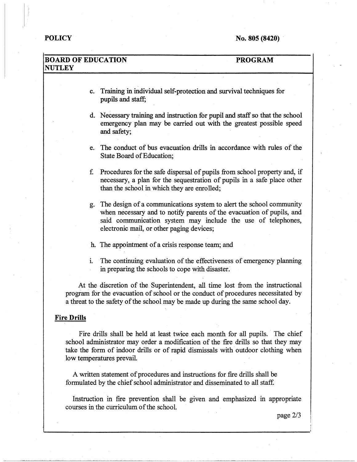i  $\ddot{\phantom{a}}$ 

#### **BOARD OF EDUCATION NUTLEY PROGRAM**

- c. Training in individual self-protection and survival techniques for pupils and staff;
- d. Necessary training and instruction for pupil and staff so that the school emergency plan may be carried out with the greatest possible speed and safety;
- e. The conduct of bus evacuation drills in accordance with rules of the State Board of Education;
- £ Procedures for the safe dispersal of pupils from school property and, if necessary, a plan for the sequestration of pupils in a safe place other than the school in which they are enrolled;
- g. The design of a communications system to alert the school community when necessary and to notify parents of the evacuation of pupils, and said communication system may include the use of telephones, electronic mail, or other paging devices;
- h. The appointment of a crisis response team; and
- 1. The continuing evaluation of the effectiveness of emergency planning in preparing the schools to cope with disaster:

At the discretion of the Superintendent, all time lost from the instructional program for the evacuation of school or the conduct of procedures necessitated by a threat to the safety of the school may be made up during the same school day.

#### **Fire Drills**

Fire drills shall be held at least twice each month for all pupils. The chief school administrator may order a modification of the fire drills so that they may take the form of indoor drills or of rapid dismissals with outdoor clothing when low temperatures prevail.

A written statement of procedures and instructions for fire drills shall be formulated by the chief school administrator and disseminated to all staff.

Instruction in fire prevention shall be given and emphasized in appropriate courses in the curriculum of the school.

--·--·---·~~--~·--------------------

page 2/3